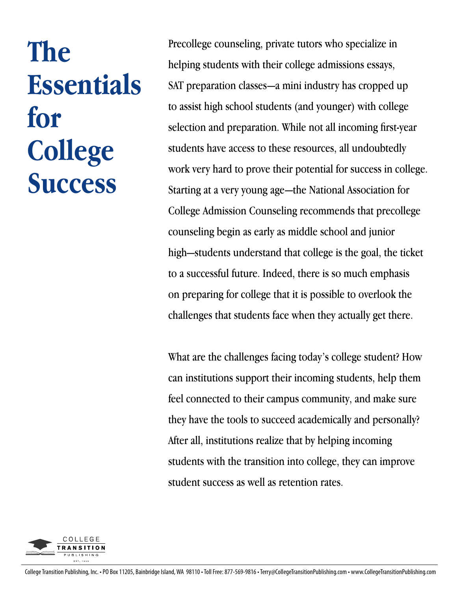# **The Essentials for College Success**

Precollege counseling, private tutors who specialize in helping students with their college admissions essays, SAT preparation classes—a mini industry has cropped up to assist high school students (and younger) with college selection and preparation. While not all incoming first-year students have access to these resources, all undoubtedly work very hard to prove their potential for success in college. Starting at a very young age—the National Association for College Admission Counseling recommends that precollege counseling begin as early as middle school and junior high—students understand that college is the goal, the ticket to a successful future. Indeed, there is so much emphasis on preparing for college that it is possible to overlook the challenges that students face when they actually get there.

What are the challenges facing today's college student? How can institutions support their incoming students, help them feel connected to their campus community, and make sure they have the tools to succeed academically and personally? After all, institutions realize that by helping incoming students with the transition into college, they can improve student success as well as retention rates.

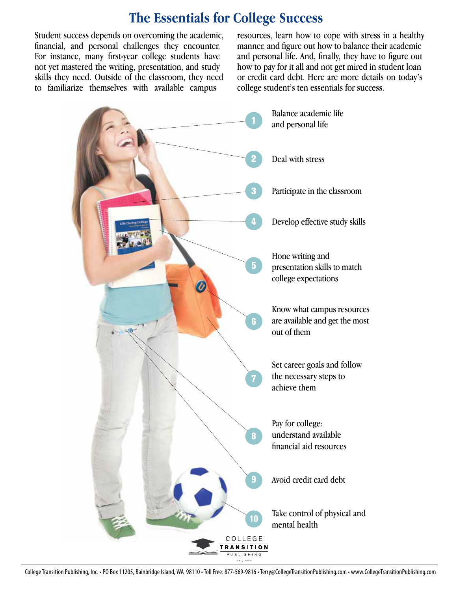## **The Essentials for College Success**

Student success depends on overcoming the academic, financial, and personal challenges they encounter. For instance, many first-year college students have not yet mastered the writing, presentation, and study skills they need. Outside of the classroom, they need to familiarize themselves with available campus

resources, learn how to cope with stress in a healthy manner, and figure out how to balance their academic and personal life. And, finally, they have to figure out how to pay for it all and not get mired in student loan or credit card debt. Here are more details on today's college student's ten essentials for success.



College Transition Publishing, Inc. • PO Box 11205, Bainbridge Island, WA 98110 • Toll Free: 877-569-9816 • Terry@CollegeTransitionPublishing.com • www.CollegeTransitionPublishing.com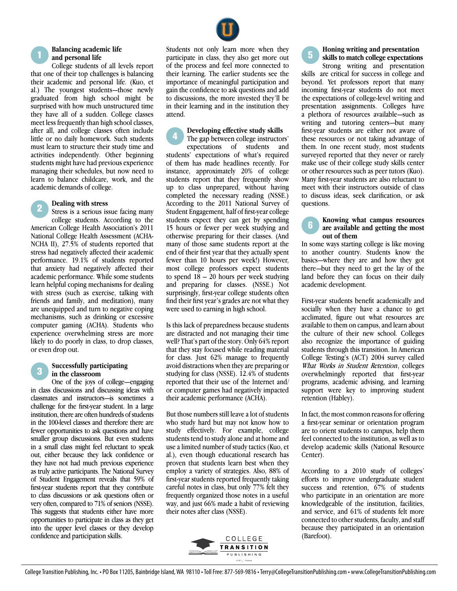#### <sup>1</sup> **Balancing academic life and personal life**

College students of all levels report that one of their top challenges is balancing their academic and personal life. (Kuo, et al.) The youngest students—those newly graduated from high school might be surprised with how much unstructured time they have all of a sudden. College classes meet less frequently than high school classes, after all, and college classes often include little or no daily homework. Such students must learn to structure their study time and activities independently. Other beginning students might have had previous experience managing their schedules, but now need to learn to balance childcare, work, and the academic demands of college.

#### 2 **Dealing with stress**

Stress is a serious issue facing many college students. According to the American College Health Association's 2011 National College Health Assessment (ACHA-NCHA II), 27.5% of students reported that stress had negatively affected their academic performance. 19.1% of students reported that anxiety had negatively affected their academic performance. While some students learn helpful coping mechanisms for dealing with stress (such as exercise, talking with friends and family, and meditation), many are unequipped and turn to negative coping mechanisms, such as drinking or excessive computer gaming (ACHA). Students who experience overwhelming stress are more likely to do poorly in class, to drop classes, or even drop out.

#### <sup>3</sup> **Successfully participating in the classroom**

One of the joys of college—engaging in class discussions and discussing ideas with classmates and instructors—is sometimes a challenge for the first-year student. In a large institution, there are often hundreds of students in the 100-level classes and therefore there are fewer opportunities to ask questions and have smaller group discussions. But even students in a small class might feel reluctant to speak out, either because they lack confidence or they have not had much previous experience as truly active participants. The National Survey of Student Engagement reveals that 59% of first-year students report that they contribute to class discussions or ask questions often or very often, compared to 71% of seniors (NSSE). This suggests that students either have more opportunities to participate in class as they get into the upper level classes or they develop confidence and participation skills.

Students not only learn more when they participate in class, they also get more out of the process and feel more connected to their learning. The earlier students see the importance of meaningful participation and gain the confidence to ask questions and add to discussions, the more invested they'll be in their learning and in the institution they attend.

#### <sup>4</sup> **Developing effective study skills**

The gap between college instructors' expectations of students and students' expectations of what's required of them has made headlines recently. For instance, approximately 20% of college students report that they frequently show up to class unprepared, without having completed the necessary reading (NSSE.) According to the 2011 National Survey of Student Engagement, half of first-year college students expect they can get by spending 15 hours or fewer per week studying and otherwise preparing for their classes. (And many of those same students report at the end of their first year that they actually spent fewer than 10 hours per week!) However, most college professors expect students to spend  $18 - 20$  hours per week studying and preparing for classes. (NSSE.) Not surprisingly, first-year college students often find their first year's grades are not what they were used to earning in high school.

Is this lack of preparedness because students are distracted and not managing their time well? That's part of the story. Only 64% report that they stay focused while reading material for class. Just 62% manage to frequently avoid distractions when theyare preparing or studying for class (NSSE). 12.4% of students reported that their use of the Internet and/ or computer games had negatively impacted their academic performance (ACHA).

But those numbers still leave alot of students who study hard but may not know how to study effectively. For example, college students tend to study alone and at home and use a limited number of study tactics (Kuo, et al.), even though educational research has proven that students learn best when they employ a variety of strategies. Also, 88% of first-year students reported frequently taking careful notes in class, but only 77% felt they frequently organized those notes in a useful way, and just 66% made a habit of reviewing their notes after class (NSSE).



#### **Honing writing and presentation skills to match college expectations**

Strong writing and presentation skills are critical for success in college and beyond. Yet professors report that many incoming first-year students do not meet the expectations of college-level writing and presentation assignments. Colleges have a plethora of resources available—such as writing and tutoring centers—but many first-year students are either not aware of these resources or not taking advantage of them. In one recent study, most students surveyed reported that they never or rarely make use of their college study skills center or other resources such as peer tutors (Kuo). Many first-year students are also reluctant to meet with their instructors outside of class to discuss ideas, seek clarification, or ask questions.

#### <sup>6</sup> **Knowing what campus resources are available and getting the most out of them**

In some ways starting college is like moving to another country. Students know the basics—where they are and how they got there—but they need to get the lay of the land before they can focus on their daily academic development.

First-year students benefit academically and socially when they have a chance to get acclimated, figure out what resources are available to them on campus, and learn about the culture of their new school. Colleges also recognize the importance of guiding students through this transition. In American College Testing's (ACT) 2004 survey called What Works in Student Retention, colleges overwhelmingly reported that first-year programs, academic advising, and learning support were key to improving student retention (Habley).

In fact, the most common reasons for offering a first-year seminar or orientation program are to orient students to campus, help them feel connected to the institution, as well as to develop academic skills (National Resource Center).

According to a 2010 study of colleges' efforts to improve undergraduate student success and retention, 67% of students who participate in an orientation are more knowledgeable of the institution, facilities, and service, and 61% of students felt more connected to other students, faculty, and staff because they participated in an orientation (Barefoot).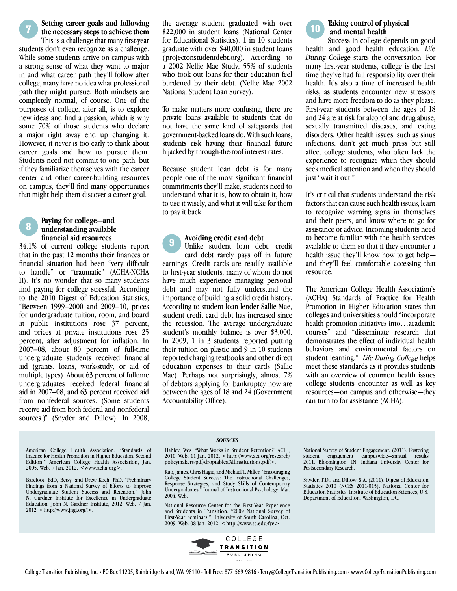<sup>7</sup> **Setting career goals and following the necessary stepsto achieve them**

This is a challenge that many first-year students don't even recognize as a challenge. While some students arrive on campus with a strong sense of what they want to major in and what career path they'll follow after college, many have no idea what professional path they might pursue. Both mindsets are completely normal, of course. One of the purposes of college, after all, is to explore new ideas and find a passion, which is why some 70% of those students who declare a major right away end up changing it. However, it never is too early to think about career goals and how to pursue them. Students need not commit to one path, but if they familiarize themselves with the career center and other career-building resources on campus, they'll find many opportunities that might help them discover a career goal.

#### <sup>8</sup> **Paying for college—and understanding available financial aid resources**

34.1% of current college students report that in the past 12 months their finances or financial situation had been "very difficult to handle" or "traumatic" (ACHA-NCHA II). It's no wonder that so many students find paying for college stressful. According to the 2010 Digest of Education Statistics, "Between 1999–2000 and 2009–10, prices for undergraduate tuition, room, and board at public institutions rose 37 percent, and prices at private institutions rose 25 percent, after adjustment for inflation. In 2007–08, about 80 percent of full-time undergraduate students received financial aid (grants, loans, work-study, or aid of multiple types). About 63 percent of fulltime undergraduates received federal financial aid in 2007–08, and 63 percent received aid from nonfederal sources. (Some students receive aid from both federal and nonfederal sources.)" (Snyder and Dillow). In 2008,

the average student graduated with over \$22,000 in student loans (National Center for Educational Statistics). 1 in 10 students graduate with over \$40,000 in student loans (projectonstudentdebt.org). According to a 2002 Nellie Mae Study, 55% of students who took out loans for their education feel burdened by their debt. (Nellie Mae 2002 National Student Loan Survey).

To make matters more confusing, there are private loans available to students that do not have the same kind of safeguards that government-backed loans do. With such loans, students risk having their financial future hijacked by through-the-roof interest rates.

Because student loan debt is for many people one of the most significant financial commitments they'll make, students need to understand what it is, how to obtain it, how to use it wisely, and what it will take for them to pay it back.

#### 9 **Avoiding credit card debt**

Unlike student loan debt, credit card debt rarely pays off in future earnings. Credit cards are readily available to first-year students, many of whom do not have much experience managing personal debt and may not fully understand the importance of building a solid credit history. According to student loan lender Sallie Mae, student credit card debt has increased since the recession. The average undergraduate student's monthly balance is over \$3,000. In 2009, 1 in 3 students reported putting their tuition on plastic and 9 in 10 students reported charging textbooksand other direct education expenses to their cards (Sallie Mae). Perhaps not surprisingly, almost 7% of debtors applying for bankruptcy now are between the ages of 18 and 24 (Government Accountability Office).

Taking control of physical  **and mental health**

Success in college depends on good health and good health education. Life During College starts the conversation. For many first-year students, college is the first time they've had full responsibility over their health. It's also a time of increased health risks, as students encounter new stressors and have more freedom to do as they please. First-year students between the ages of 18 and 24 are at risk for alcohol and drug abuse, sexually transmitted diseases, and eating disorders. Other health issues, such as sinus infections, don't get much press but still affect college students, who often lack the experience to recognize when they should seek medical attention and when they should just "wait it out."

It's critical that students understand the risk factors that can cause such health issues, learn to recognize warning signs in themselves and their peers, and know where to go for assistance or advice. Incoming students need to become familiar with the health services available to them so that if they encounter a health issue they'll know how to get help and they'll feel comfortable accessing that resource.

The American College Health Association's (ACHA) Standards of Practice for Health Promotion in Higher Education states that colleges and universities should "incorporate" health promotion initiatives into…academic courses" and "disseminate research that demonstrates the effect of individual health behaviors and environmental factors on student learning." Life During College helps meet these standards as it provides students with an overview of common health issues college students encounter as well as key resources—on campus and otherwise—they can turn to for assistance (ACHA).

American College Health Association. "Standards of Practice for Health Promotion in Higher Education, Second Edition." American College Health Association, Jan. 2005. Web. 7 Jan. 2012. <www.acha.org>

Barefoot, EdD, Betsy, and Drew Koch, PhD. "Preliminary Findings from a National Survey of Efforts to Improve Undergraduate Student Success and Retention." John Undergraduate Student Success and Retention." N. Gardner Institute for Excellence in Undergraduate Education. John N. Gardner Institute, 2012. Web. 7 Jan. 2012. <http://www.jngi.org/>.

#### *SOURCES*

Habley, Wes. "What Works in Student Retention?" ACT , 2010. Web. 11 Jan. 2012. <http://www.act.org/research/ policymakers/pdf/droptables/AllInstitutions.pdf>.

Kuo, James, Chris Hagie, and Michael T. Miller. "Encouraging College Student Success: The Instructional Challenges, Response Strategies, and Study Skills of Contemporary Undergraduates." Journal of Instructional Psychology, Mar. 2004. Web.

National Resource Center for the First-Year Experience and Students in Transition. "2009 National Survey of First-Year Seminars." University of South Carolina, Oct. 2009. Web. 08 Jan. 2012. <http://www.sc.edu/fye>



National Survey of Student Engagement. (2011). Fostering student engagement campuswide—annual results 2011. Bloomington, IN: Indiana University Center for Postsecondary Research.

Snyder, T.D., and Dillow, S.A. (2011). Digest of Education Education Statistics, Institute of Education Sciences, U.S. Department of Education. Washington, DC.